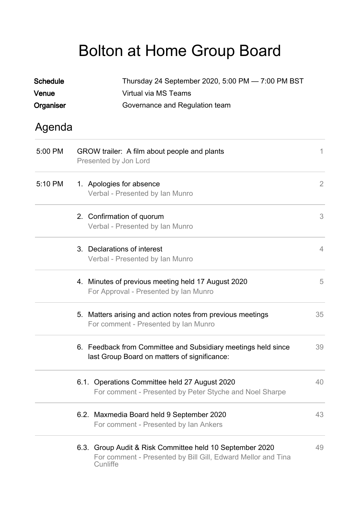## Bolton at Home Group Board

| <b>Schedule</b> | Thursday 24 September 2020, 5:00 PM - 7:00 PM BST                                                                                    |                |  |  |
|-----------------|--------------------------------------------------------------------------------------------------------------------------------------|----------------|--|--|
| Venue           | Virtual via MS Teams                                                                                                                 |                |  |  |
| Organiser       | Governance and Regulation team                                                                                                       |                |  |  |
| Agenda          |                                                                                                                                      |                |  |  |
| 5:00 PM         | GROW trailer: A film about people and plants<br>Presented by Jon Lord                                                                | 1.             |  |  |
| 5:10 PM         | 1. Apologies for absence<br>Verbal - Presented by Ian Munro                                                                          | $\overline{2}$ |  |  |
|                 | 2. Confirmation of quorum<br>Verbal - Presented by Ian Munro                                                                         | 3              |  |  |
|                 | 3. Declarations of interest<br>Verbal - Presented by Ian Munro                                                                       | $\overline{4}$ |  |  |
|                 | 4. Minutes of previous meeting held 17 August 2020<br>For Approval - Presented by Ian Munro                                          | 5              |  |  |
|                 | 5. Matters arising and action notes from previous meetings<br>For comment - Presented by Ian Munro                                   | 35             |  |  |
|                 | 6. Feedback from Committee and Subsidiary meetings held since<br>last Group Board on matters of significance:                        | 39             |  |  |
|                 | 6.1. Operations Committee held 27 August 2020<br>For comment - Presented by Peter Styche and Noel Sharpe                             | 40             |  |  |
|                 | 6.2. Maxmedia Board held 9 September 2020<br>For comment - Presented by Ian Ankers                                                   | 43             |  |  |
|                 | 6.3. Group Audit & Risk Committee held 10 September 2020<br>For comment - Presented by Bill Gill, Edward Mellor and Tina<br>Cunliffe | 49             |  |  |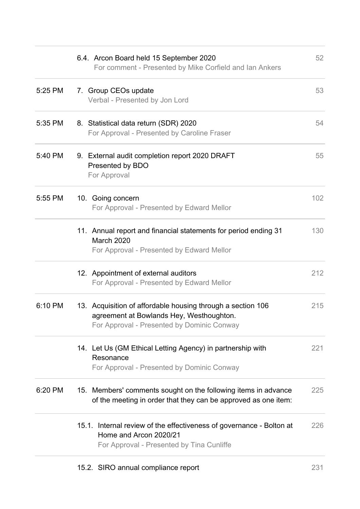| 5:35 PM | 8. Statistical data return (SDR) 2020                                                                                                                 | 54  |
|---------|-------------------------------------------------------------------------------------------------------------------------------------------------------|-----|
|         | For Approval - Presented by Caroline Fraser                                                                                                           |     |
| 5:40 PM | 9. External audit completion report 2020 DRAFT<br>Presented by BDO<br>For Approval                                                                    | 55  |
| 5:55 PM | 10. Going concern<br>For Approval - Presented by Edward Mellor                                                                                        | 102 |
|         | 11. Annual report and financial statements for period ending 31<br>March 2020<br>For Approval - Presented by Edward Mellor                            | 130 |
|         | 12. Appointment of external auditors<br>For Approval - Presented by Edward Mellor                                                                     | 212 |
| 6:10 PM | 13. Acquisition of affordable housing through a section 106<br>agreement at Bowlands Hey, Westhoughton.<br>For Approval - Presented by Dominic Conway | 215 |
|         | 14. Let Us (GM Ethical Letting Agency) in partnership with<br>Resonance<br>For Approval - Presented by Dominic Conway                                 | 221 |
| 6:20 PM | 15. Members' comments sought on the following items in advance<br>of the meeting in order that they can be approved as one item:                      | 225 |
|         | 15.1. Internal review of the effectiveness of governance - Bolton at<br>Home and Arcon 2020/21<br>For Approval - Presented by Tina Cunliffe           | 226 |
|         | 15.2. SIRO annual compliance report                                                                                                                   | 231 |